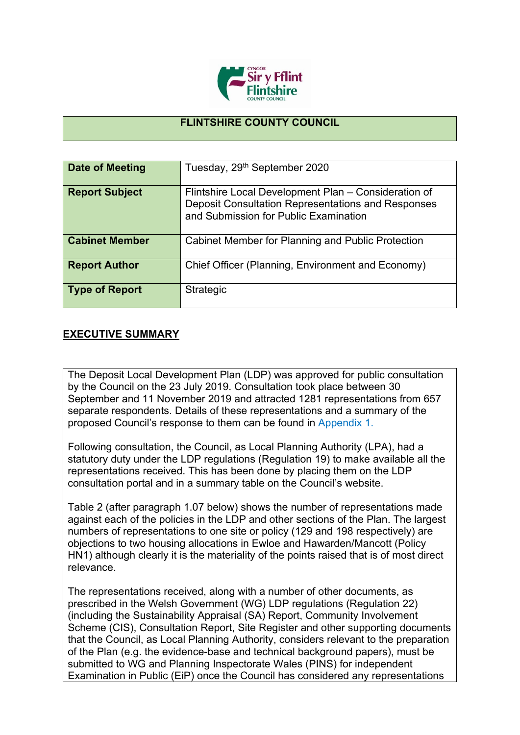

## **FLINTSHIRE COUNTY COUNCIL**

| Date of Meeting       | Tuesday, 29 <sup>th</sup> September 2020                                                                                                            |
|-----------------------|-----------------------------------------------------------------------------------------------------------------------------------------------------|
| <b>Report Subject</b> | Flintshire Local Development Plan - Consideration of<br>Deposit Consultation Representations and Responses<br>and Submission for Public Examination |
| <b>Cabinet Member</b> | Cabinet Member for Planning and Public Protection                                                                                                   |
| <b>Report Author</b>  | Chief Officer (Planning, Environment and Economy)                                                                                                   |
| <b>Type of Report</b> | Strategic                                                                                                                                           |

## **EXECUTIVE SUMMARY**

The Deposit Local Development Plan (LDP) was approved for public consultation by the Council on the 23 July 2019. Consultation took place between 30 September and 11 November 2019 and attracted 1281 representations from 657 separate respondents. Details of these representations and a summary of the proposed Council's response to them can be found in [Appendix](https://www.flintshire.gov.uk/en/PDFFiles/Planning/Planning-Policy-Misc/Appendix-1-LDP-Council-Response-Report.pdf) 1.

Following consultation, the Council, as Local Planning Authority (LPA), had a statutory duty under the LDP regulations (Regulation 19) to make available all the representations received. This has been done by placing them on the LDP consultation portal and in a summary table on the Council's website.

Table 2 (after paragraph 1.07 below) shows the number of representations made against each of the policies in the LDP and other sections of the Plan. The largest numbers of representations to one site or policy (129 and 198 respectively) are objections to two housing allocations in Ewloe and Hawarden/Mancott (Policy HN1) although clearly it is the materiality of the points raised that is of most direct relevance.

The representations received, along with a number of other documents, as prescribed in the Welsh Government (WG) LDP regulations (Regulation 22) (including the Sustainability Appraisal (SA) Report, Community Involvement Scheme (CIS), Consultation Report, Site Register and other supporting documents that the Council, as Local Planning Authority, considers relevant to the preparation of the Plan (e.g. the evidence-base and technical background papers), must be submitted to WG and Planning Inspectorate Wales (PINS) for independent Examination in Public (EiP) once the Council has considered any representations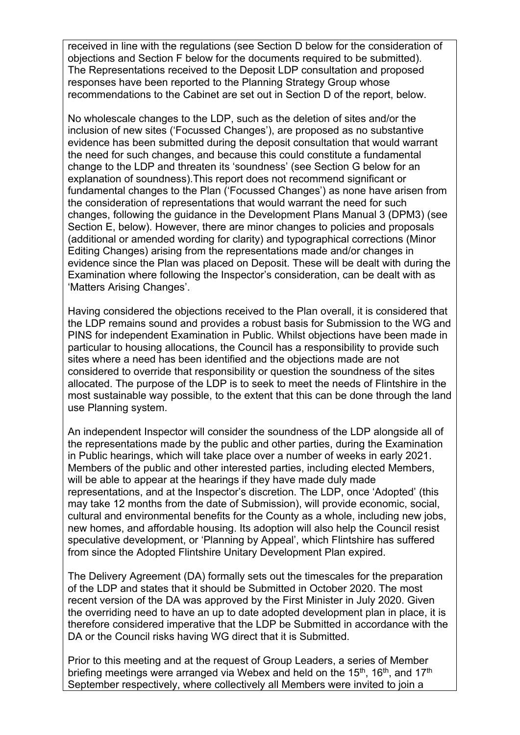received in line with the regulations (see Section D below for the consideration of objections and Section F below for the documents required to be submitted). The Representations received to the Deposit LDP consultation and proposed responses have been reported to the Planning Strategy Group whose recommendations to the Cabinet are set out in Section D of the report, below.

No wholescale changes to the LDP, such as the deletion of sites and/or the inclusion of new sites ('Focussed Changes'), are proposed as no substantive evidence has been submitted during the deposit consultation that would warrant the need for such changes, and because this could constitute a fundamental change to the LDP and threaten its 'soundness' (see Section G below for an explanation of soundness).This report does not recommend significant or fundamental changes to the Plan ('Focussed Changes') as none have arisen from the consideration of representations that would warrant the need for such changes, following the guidance in the Development Plans Manual 3 (DPM3) (see Section E, below). However, there are minor changes to policies and proposals (additional or amended wording for clarity) and typographical corrections (Minor Editing Changes) arising from the representations made and/or changes in evidence since the Plan was placed on Deposit. These will be dealt with during the Examination where following the Inspector's consideration, can be dealt with as 'Matters Arising Changes'.

Having considered the objections received to the Plan overall, it is considered that the LDP remains sound and provides a robust basis for Submission to the WG and PINS for independent Examination in Public. Whilst objections have been made in particular to housing allocations, the Council has a responsibility to provide such sites where a need has been identified and the objections made are not considered to override that responsibility or question the soundness of the sites allocated. The purpose of the LDP is to seek to meet the needs of Flintshire in the most sustainable way possible, to the extent that this can be done through the land use Planning system.

An independent Inspector will consider the soundness of the LDP alongside all of the representations made by the public and other parties, during the Examination in Public hearings, which will take place over a number of weeks in early 2021. Members of the public and other interested parties, including elected Members, will be able to appear at the hearings if they have made duly made representations, and at the Inspector's discretion. The LDP, once 'Adopted' (this may take 12 months from the date of Submission), will provide economic, social, cultural and environmental benefits for the County as a whole, including new jobs, new homes, and affordable housing. Its adoption will also help the Council resist speculative development, or 'Planning by Appeal', which Flintshire has suffered from since the Adopted Flintshire Unitary Development Plan expired.

The Delivery Agreement (DA) formally sets out the timescales for the preparation of the LDP and states that it should be Submitted in October 2020. The most recent version of the DA was approved by the First Minister in July 2020. Given the overriding need to have an up to date adopted development plan in place, it is therefore considered imperative that the LDP be Submitted in accordance with the DA or the Council risks having WG direct that it is Submitted.

Prior to this meeting and at the request of Group Leaders, a series of Member briefing meetings were arranged via Webex and held on the 15<sup>th</sup>, 16<sup>th</sup>, and 17<sup>th</sup> September respectively, where collectively all Members were invited to join a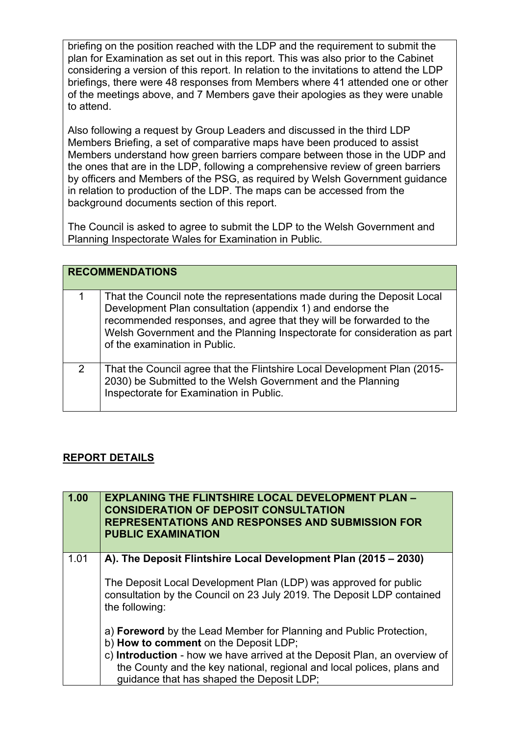briefing on the position reached with the LDP and the requirement to submit the plan for Examination as set out in this report. This was also prior to the Cabinet considering a version of this report. In relation to the invitations to attend the LDP briefings, there were 48 responses from Members where 41 attended one or other of the meetings above, and 7 Members gave their apologies as they were unable to attend.

Also following a request by Group Leaders and discussed in the third LDP Members Briefing, a set of comparative maps have been produced to assist Members understand how green barriers compare between those in the UDP and the ones that are in the LDP, following a comprehensive review of green barriers by officers and Members of the PSG, as required by Welsh Government guidance in relation to production of the LDP. The maps can be accessed from the background documents section of this report.

The Council is asked to agree to submit the LDP to the Welsh Government and Planning Inspectorate Wales for Examination in Public.

|   | <b>RECOMMENDATIONS</b>                                                                                                                                                                                                                                                                                                    |
|---|---------------------------------------------------------------------------------------------------------------------------------------------------------------------------------------------------------------------------------------------------------------------------------------------------------------------------|
|   | That the Council note the representations made during the Deposit Local<br>Development Plan consultation (appendix 1) and endorse the<br>recommended responses, and agree that they will be forwarded to the<br>Welsh Government and the Planning Inspectorate for consideration as part<br>of the examination in Public. |
| 2 | That the Council agree that the Flintshire Local Development Plan (2015-<br>2030) be Submitted to the Welsh Government and the Planning<br>Inspectorate for Examination in Public.                                                                                                                                        |

## **REPORT DETAILS**

| 1.00 | <b>EXPLANING THE FLINTSHIRE LOCAL DEVELOPMENT PLAN -</b><br><b>CONSIDERATION OF DEPOSIT CONSULTATION</b><br><b>REPRESENTATIONS AND RESPONSES AND SUBMISSION FOR</b><br><b>PUBLIC EXAMINATION</b> |
|------|--------------------------------------------------------------------------------------------------------------------------------------------------------------------------------------------------|
| 1.01 | A). The Deposit Flintshire Local Development Plan (2015 – 2030)                                                                                                                                  |
|      | The Deposit Local Development Plan (LDP) was approved for public<br>consultation by the Council on 23 July 2019. The Deposit LDP contained<br>the following:                                     |
|      | a) <b>Foreword</b> by the Lead Member for Planning and Public Protection,<br>b) How to comment on the Deposit LDP;                                                                               |
|      | c) Introduction - how we have arrived at the Deposit Plan, an overview of<br>the County and the key national, regional and local polices, plans and<br>guidance that has shaped the Deposit LDP; |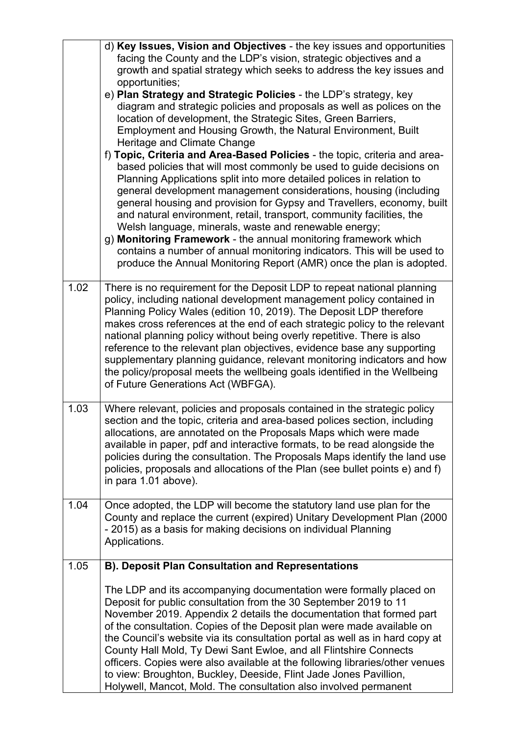|      | d) Key Issues, Vision and Objectives - the key issues and opportunities                                                                                                                                                                                                                                                                                                                                                                                                                                                                                                                                                                                                                                                            |
|------|------------------------------------------------------------------------------------------------------------------------------------------------------------------------------------------------------------------------------------------------------------------------------------------------------------------------------------------------------------------------------------------------------------------------------------------------------------------------------------------------------------------------------------------------------------------------------------------------------------------------------------------------------------------------------------------------------------------------------------|
|      | facing the County and the LDP's vision, strategic objectives and a                                                                                                                                                                                                                                                                                                                                                                                                                                                                                                                                                                                                                                                                 |
|      | growth and spatial strategy which seeks to address the key issues and                                                                                                                                                                                                                                                                                                                                                                                                                                                                                                                                                                                                                                                              |
|      | opportunities;                                                                                                                                                                                                                                                                                                                                                                                                                                                                                                                                                                                                                                                                                                                     |
|      | e) Plan Strategy and Strategic Policies - the LDP's strategy, key                                                                                                                                                                                                                                                                                                                                                                                                                                                                                                                                                                                                                                                                  |
|      | diagram and strategic policies and proposals as well as polices on the                                                                                                                                                                                                                                                                                                                                                                                                                                                                                                                                                                                                                                                             |
|      | location of development, the Strategic Sites, Green Barriers,                                                                                                                                                                                                                                                                                                                                                                                                                                                                                                                                                                                                                                                                      |
|      | Employment and Housing Growth, the Natural Environment, Built                                                                                                                                                                                                                                                                                                                                                                                                                                                                                                                                                                                                                                                                      |
|      | Heritage and Climate Change                                                                                                                                                                                                                                                                                                                                                                                                                                                                                                                                                                                                                                                                                                        |
|      | f) Topic, Criteria and Area-Based Policies - the topic, criteria and area-<br>based policies that will most commonly be used to guide decisions on<br>Planning Applications split into more detailed polices in relation to<br>general development management considerations, housing (including<br>general housing and provision for Gypsy and Travellers, economy, built<br>and natural environment, retail, transport, community facilities, the<br>Welsh language, minerals, waste and renewable energy;<br>g) Monitoring Framework - the annual monitoring framework which<br>contains a number of annual monitoring indicators. This will be used to<br>produce the Annual Monitoring Report (AMR) once the plan is adopted. |
| 1.02 | There is no requirement for the Deposit LDP to repeat national planning                                                                                                                                                                                                                                                                                                                                                                                                                                                                                                                                                                                                                                                            |
|      | policy, including national development management policy contained in                                                                                                                                                                                                                                                                                                                                                                                                                                                                                                                                                                                                                                                              |
|      | Planning Policy Wales (edition 10, 2019). The Deposit LDP therefore                                                                                                                                                                                                                                                                                                                                                                                                                                                                                                                                                                                                                                                                |
|      | makes cross references at the end of each strategic policy to the relevant                                                                                                                                                                                                                                                                                                                                                                                                                                                                                                                                                                                                                                                         |
|      | national planning policy without being overly repetitive. There is also                                                                                                                                                                                                                                                                                                                                                                                                                                                                                                                                                                                                                                                            |
|      | reference to the relevant plan objectives, evidence base any supporting                                                                                                                                                                                                                                                                                                                                                                                                                                                                                                                                                                                                                                                            |
|      | supplementary planning guidance, relevant monitoring indicators and how                                                                                                                                                                                                                                                                                                                                                                                                                                                                                                                                                                                                                                                            |
|      | the policy/proposal meets the wellbeing goals identified in the Wellbeing                                                                                                                                                                                                                                                                                                                                                                                                                                                                                                                                                                                                                                                          |
|      | of Future Generations Act (WBFGA).                                                                                                                                                                                                                                                                                                                                                                                                                                                                                                                                                                                                                                                                                                 |
|      |                                                                                                                                                                                                                                                                                                                                                                                                                                                                                                                                                                                                                                                                                                                                    |
| 1.03 | Where relevant, policies and proposals contained in the strategic policy                                                                                                                                                                                                                                                                                                                                                                                                                                                                                                                                                                                                                                                           |
|      | section and the topic, criteria and area-based polices section, including                                                                                                                                                                                                                                                                                                                                                                                                                                                                                                                                                                                                                                                          |
|      | allocations, are annotated on the Proposals Maps which were made                                                                                                                                                                                                                                                                                                                                                                                                                                                                                                                                                                                                                                                                   |
|      | available in paper, pdf and interactive formats, to be read alongside the                                                                                                                                                                                                                                                                                                                                                                                                                                                                                                                                                                                                                                                          |
|      | policies during the consultation. The Proposals Maps identify the land use                                                                                                                                                                                                                                                                                                                                                                                                                                                                                                                                                                                                                                                         |
|      | policies, proposals and allocations of the Plan (see bullet points e) and f)                                                                                                                                                                                                                                                                                                                                                                                                                                                                                                                                                                                                                                                       |
|      | in para 1.01 above).                                                                                                                                                                                                                                                                                                                                                                                                                                                                                                                                                                                                                                                                                                               |
| 1.04 | Once adopted, the LDP will become the statutory land use plan for the                                                                                                                                                                                                                                                                                                                                                                                                                                                                                                                                                                                                                                                              |
|      | County and replace the current (expired) Unitary Development Plan (2000                                                                                                                                                                                                                                                                                                                                                                                                                                                                                                                                                                                                                                                            |
|      | - 2015) as a basis for making decisions on individual Planning                                                                                                                                                                                                                                                                                                                                                                                                                                                                                                                                                                                                                                                                     |
|      | Applications.                                                                                                                                                                                                                                                                                                                                                                                                                                                                                                                                                                                                                                                                                                                      |
|      |                                                                                                                                                                                                                                                                                                                                                                                                                                                                                                                                                                                                                                                                                                                                    |
| 1.05 | <b>B). Deposit Plan Consultation and Representations</b>                                                                                                                                                                                                                                                                                                                                                                                                                                                                                                                                                                                                                                                                           |
|      |                                                                                                                                                                                                                                                                                                                                                                                                                                                                                                                                                                                                                                                                                                                                    |
|      | The LDP and its accompanying documentation were formally placed on                                                                                                                                                                                                                                                                                                                                                                                                                                                                                                                                                                                                                                                                 |
|      | Deposit for public consultation from the 30 September 2019 to 11                                                                                                                                                                                                                                                                                                                                                                                                                                                                                                                                                                                                                                                                   |
|      | November 2019. Appendix 2 details the documentation that formed part                                                                                                                                                                                                                                                                                                                                                                                                                                                                                                                                                                                                                                                               |
|      | of the consultation. Copies of the Deposit plan were made available on                                                                                                                                                                                                                                                                                                                                                                                                                                                                                                                                                                                                                                                             |
|      | the Council's website via its consultation portal as well as in hard copy at                                                                                                                                                                                                                                                                                                                                                                                                                                                                                                                                                                                                                                                       |
|      | County Hall Mold, Ty Dewi Sant Ewloe, and all Flintshire Connects                                                                                                                                                                                                                                                                                                                                                                                                                                                                                                                                                                                                                                                                  |
|      | officers. Copies were also available at the following libraries/other venues                                                                                                                                                                                                                                                                                                                                                                                                                                                                                                                                                                                                                                                       |
|      | to view: Broughton, Buckley, Deeside, Flint Jade Jones Pavillion,                                                                                                                                                                                                                                                                                                                                                                                                                                                                                                                                                                                                                                                                  |
|      | Holywell, Mancot, Mold. The consultation also involved permanent                                                                                                                                                                                                                                                                                                                                                                                                                                                                                                                                                                                                                                                                   |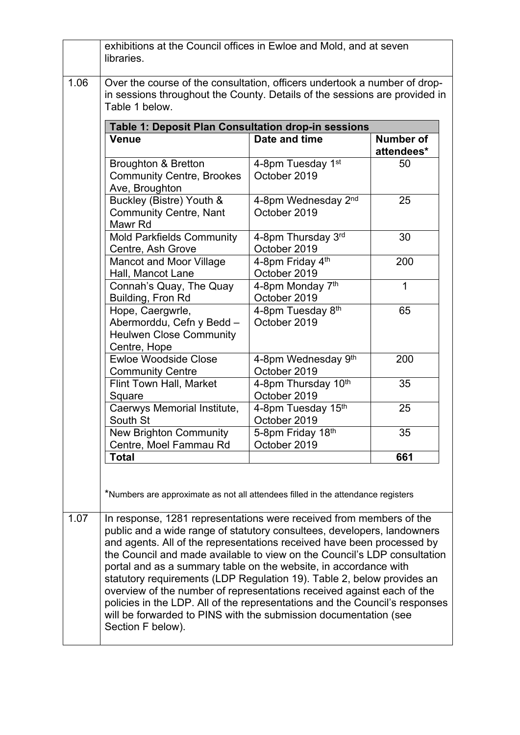|      | in sessions throughout the County. Details of the sessions are provided in<br>Table 1 below.                                                                                                                                                                                                                                                                                                                                                                                                                                                                                                                                                                                    |                                               |                                |
|------|---------------------------------------------------------------------------------------------------------------------------------------------------------------------------------------------------------------------------------------------------------------------------------------------------------------------------------------------------------------------------------------------------------------------------------------------------------------------------------------------------------------------------------------------------------------------------------------------------------------------------------------------------------------------------------|-----------------------------------------------|--------------------------------|
|      | Table 1: Deposit Plan Consultation drop-in sessions<br><b>Venue</b>                                                                                                                                                                                                                                                                                                                                                                                                                                                                                                                                                                                                             | Date and time                                 | <b>Number of</b><br>attendees* |
|      | <b>Broughton &amp; Bretton</b><br><b>Community Centre, Brookes</b><br>Ave, Broughton                                                                                                                                                                                                                                                                                                                                                                                                                                                                                                                                                                                            | 4-8pm Tuesday 1 <sup>st</sup><br>October 2019 | 50                             |
|      | Buckley (Bistre) Youth &<br><b>Community Centre, Nant</b><br>Mawr Rd                                                                                                                                                                                                                                                                                                                                                                                                                                                                                                                                                                                                            | 4-8pm Wednesday 2nd<br>October 2019           | 25                             |
|      | <b>Mold Parkfields Community</b><br>Centre, Ash Grove                                                                                                                                                                                                                                                                                                                                                                                                                                                                                                                                                                                                                           | 4-8pm Thursday 3rd<br>October 2019            | 30                             |
|      | <b>Mancot and Moor Village</b><br>Hall, Mancot Lane                                                                                                                                                                                                                                                                                                                                                                                                                                                                                                                                                                                                                             | 4-8pm Friday 4th<br>October 2019              | 200                            |
|      | Connah's Quay, The Quay<br>Building, Fron Rd                                                                                                                                                                                                                                                                                                                                                                                                                                                                                                                                                                                                                                    | 4-8pm Monday 7th<br>October 2019              | 1                              |
|      | Hope, Caergwrle,<br>Abermorddu, Cefn y Bedd -<br><b>Heulwen Close Community</b><br>Centre, Hope                                                                                                                                                                                                                                                                                                                                                                                                                                                                                                                                                                                 | 4-8pm Tuesday 8 <sup>th</sup><br>October 2019 | 65                             |
|      | <b>Ewloe Woodside Close</b><br><b>Community Centre</b>                                                                                                                                                                                                                                                                                                                                                                                                                                                                                                                                                                                                                          | 4-8pm Wednesday 9th<br>October 2019           | 200                            |
|      | Flint Town Hall, Market<br>Square                                                                                                                                                                                                                                                                                                                                                                                                                                                                                                                                                                                                                                               | 4-8pm Thursday 10th<br>October 2019           | 35                             |
|      | Caerwys Memorial Institute,<br>South St                                                                                                                                                                                                                                                                                                                                                                                                                                                                                                                                                                                                                                         | 4-8pm Tuesday 15th<br>October 2019            | 25                             |
|      | <b>New Brighton Community</b><br>Centre, Moel Fammau Rd                                                                                                                                                                                                                                                                                                                                                                                                                                                                                                                                                                                                                         | 5-8pm Friday 18th<br>October 2019             | 35                             |
|      | <b>Total</b>                                                                                                                                                                                                                                                                                                                                                                                                                                                                                                                                                                                                                                                                    |                                               | 661                            |
|      | *Numbers are approximate as not all attendees filled in the attendance registers                                                                                                                                                                                                                                                                                                                                                                                                                                                                                                                                                                                                |                                               |                                |
| 1.07 | In response, 1281 representations were received from members of the<br>public and a wide range of statutory consultees, developers, landowners<br>and agents. All of the representations received have been processed by<br>the Council and made available to view on the Council's LDP consultation<br>portal and as a summary table on the website, in accordance with<br>statutory requirements (LDP Regulation 19). Table 2, below provides an<br>overview of the number of representations received against each of the<br>policies in the LDP. All of the representations and the Council's responses<br>will be forwarded to PINS with the submission documentation (see |                                               |                                |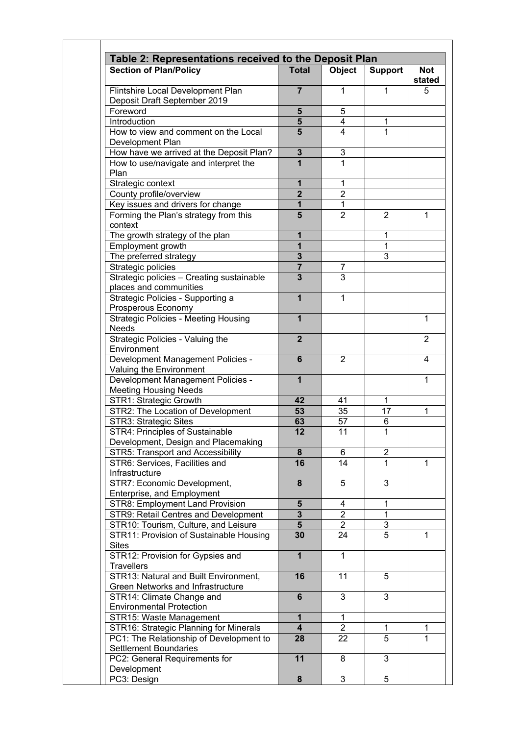| Table 2: Representations received to the Deposit Plan             |                |                |                |                      |
|-------------------------------------------------------------------|----------------|----------------|----------------|----------------------|
| <b>Section of Plan/Policy</b>                                     | <b>Total</b>   | Object         | <b>Support</b> | <b>Not</b><br>stated |
| Flintshire Local Development Plan<br>Deposit Draft September 2019 | $\overline{7}$ | 1              | $\mathbf{1}$   | 5                    |
| Foreword                                                          | 5              | 5              |                |                      |
| Introduction                                                      | $\sqrt{5}$     | 4              | 1              |                      |
| How to view and comment on the Local                              | 5              | 4              | $\overline{1}$ |                      |
| Development Plan                                                  |                |                |                |                      |
| How have we arrived at the Deposit Plan?                          | $\mathbf 3$    | 3              |                |                      |
| How to use/navigate and interpret the                             | 1              | 1              |                |                      |
| Plan                                                              |                |                |                |                      |
| Strategic context                                                 | $\mathbf 1$    | $\mathbf 1$    |                |                      |
| County profile/overview                                           | $\overline{2}$ | $\overline{2}$ |                |                      |
| Key issues and drivers for change                                 | $\mathbf{1}$   | $\mathbf{1}$   |                |                      |
| Forming the Plan's strategy from this                             | 5              | $\overline{2}$ | $\overline{2}$ | $\mathbf{1}$         |
| context                                                           |                |                |                |                      |
| The growth strategy of the plan                                   | 1              |                | 1              |                      |
| Employment growth                                                 | 1              |                | 1              |                      |
| The preferred strategy                                            | $\mathbf{3}$   |                | $\overline{3}$ |                      |
| Strategic policies                                                | $\overline{7}$ | 7              |                |                      |
| Strategic policies - Creating sustainable                         | $\overline{3}$ | 3              |                |                      |
| places and communities                                            |                |                |                |                      |
| Strategic Policies - Supporting a                                 | 1              | 1              |                |                      |
| Prosperous Economy                                                |                |                |                |                      |
| <b>Strategic Policies - Meeting Housing</b>                       | $\mathbf{1}$   |                |                | $\mathbf{1}$         |
| <b>Needs</b>                                                      |                |                |                |                      |
| Strategic Policies - Valuing the                                  | $\overline{2}$ |                |                | $\overline{2}$       |
| Environment                                                       |                |                |                |                      |
| Development Management Policies -                                 | 6              | 2              |                | 4                    |
| Valuing the Environment                                           |                |                |                |                      |
| Development Management Policies -                                 | $\mathbf{1}$   |                |                | $\mathbf{1}$         |
| <b>Meeting Housing Needs</b>                                      |                |                |                |                      |
| STR1: Strategic Growth                                            | 42             | 41             | $\mathbf{1}$   |                      |
| STR2: The Location of Development                                 | 53             | 35             | 17             | 1                    |
| STR3: Strategic Sites                                             | 63             | 57             | 6              |                      |
| STR4: Principles of Sustainable                                   | 12             | 11             | $\mathbf{1}$   |                      |
| Development, Design and Placemaking                               |                |                |                |                      |
| <b>STR5: Transport and Accessibility</b>                          | 8              | 6              | 2              |                      |
| STR6: Services, Facilities and                                    | 16             | 14             | 1              | $\mathbf{1}$         |
| Infrastructure                                                    |                |                |                |                      |
| STR7: Economic Development,                                       | 8              | 5              | 3              |                      |
| Enterprise, and Employment                                        |                |                |                |                      |
| STR8: Employment Land Provision                                   | 5              | 4              | 1              |                      |
| STR9: Retail Centres and Development                              | $\mathbf{3}$   | $\overline{2}$ | 1              |                      |
| STR10: Tourism, Culture, and Leisure                              | 5 <sup>5</sup> | $\overline{2}$ | 3              |                      |
| STR11: Provision of Sustainable Housing                           | 30             | 24             | 5              | $\mathbf{1}$         |
| <b>Sites</b>                                                      |                |                |                |                      |
| STR12: Provision for Gypsies and                                  | $\mathbf{1}$   | $\mathbf{1}$   |                |                      |
| <b>Travellers</b>                                                 |                |                |                |                      |
| STR13: Natural and Built Environment,                             | 16             | 11             | 5              |                      |
| Green Networks and Infrastructure                                 |                |                |                |                      |
| STR14: Climate Change and                                         | 6              | 3              | 3              |                      |
| <b>Environmental Protection</b>                                   |                |                |                |                      |
| STR15: Waste Management                                           | 1              | 1              |                |                      |
| STR16: Strategic Planning for Minerals                            | 4              | $\overline{2}$ | 1              | 1                    |
| PC1: The Relationship of Development to                           | 28             | 22             | 5              | $\mathbf{1}$         |
| <b>Settlement Boundaries</b>                                      |                |                |                |                      |
| PC2: General Requirements for                                     | 11             | 8              | 3              |                      |
| Development                                                       |                |                |                |                      |
| PC3: Design                                                       | 8              | 3              | 5              |                      |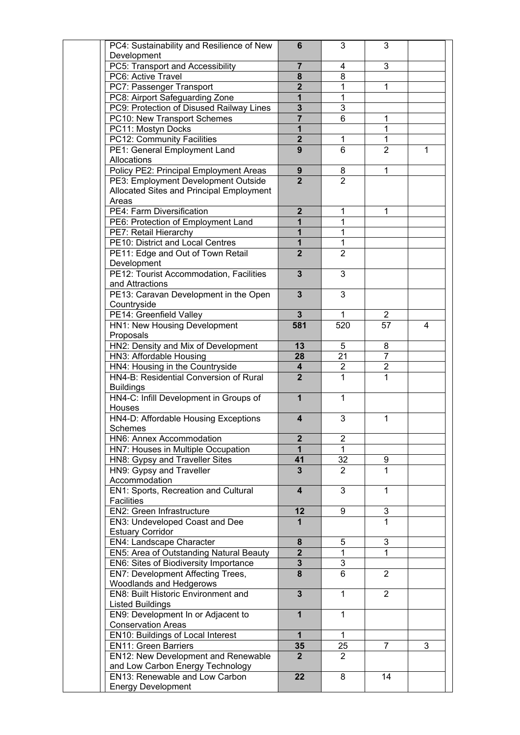| PC4: Sustainability and Resilience of New                      | 6                       | 3                              | 3                              |   |
|----------------------------------------------------------------|-------------------------|--------------------------------|--------------------------------|---|
| Development                                                    |                         |                                |                                |   |
| PC5: Transport and Accessibility                               | $\overline{7}$          | 4                              | 3                              |   |
| PC6: Active Travel                                             | 8                       | 8                              |                                |   |
| PC7: Passenger Transport                                       | $\overline{2}$          | 1                              | 1                              |   |
| PC8: Airport Safeguarding Zone                                 | 1                       | $\mathbf{1}$                   |                                |   |
| PC9: Protection of Disused Railway Lines                       | 3                       | 3                              |                                |   |
| PC10: New Transport Schemes                                    | $\overline{7}$          | 6                              | 1                              |   |
| PC11: Mostyn Docks                                             | 1                       |                                | 1                              |   |
| PC12: Community Facilities                                     | $\overline{2}$          | 1                              | 1                              |   |
| PE1: General Employment Land<br>Allocations                    | 9                       | 6                              | $\overline{2}$                 | 1 |
| Policy PE2: Principal Employment Areas                         | 9                       | 8                              | 1                              |   |
| PE3: Employment Development Outside                            | $\overline{2}$          | $\overline{2}$                 |                                |   |
| Allocated Sites and Principal Employment                       |                         |                                |                                |   |
| Areas                                                          |                         |                                |                                |   |
| PE4: Farm Diversification                                      | $\overline{2}$          | 1                              | 1                              |   |
| PE6: Protection of Employment Land                             | 1                       | 1                              |                                |   |
| PE7: Retail Hierarchy                                          | 1                       | 1                              |                                |   |
| PE10: District and Local Centres                               | 1                       | $\mathbf{1}$                   |                                |   |
| PE11: Edge and Out of Town Retail                              | $\overline{2}$          | $\overline{2}$                 |                                |   |
| Development                                                    |                         |                                |                                |   |
| PE12: Tourist Accommodation, Facilities                        | $\overline{3}$          | 3                              |                                |   |
| and Attractions                                                |                         |                                |                                |   |
| PE13: Caravan Development in the Open                          | 3                       | 3                              |                                |   |
| Countryside                                                    |                         |                                |                                |   |
| PE14: Greenfield Valley                                        | 3                       | 1                              | $\mathbf{2}^{\prime}$          |   |
| HN1: New Housing Development                                   | 581                     | 520                            | 57                             | 4 |
| Proposals                                                      |                         |                                |                                |   |
| HN2: Density and Mix of Development                            | 13                      | 5                              | 8                              |   |
| HN3: Affordable Housing                                        | 28                      | 21                             | 7                              |   |
| HN4: Housing in the Countryside                                | 4<br>$\overline{2}$     | $\overline{c}$<br>$\mathbf{1}$ | $\overline{c}$<br>$\mathbf{1}$ |   |
| HN4-B: Residential Conversion of Rural<br><b>Buildings</b>     |                         |                                |                                |   |
| HN4-C: Infill Development in Groups of                         | $\mathbf{1}$            | $\mathbf{1}$                   |                                |   |
| Houses                                                         |                         |                                |                                |   |
| HN4-D: Affordable Housing Exceptions                           | $\overline{\mathbf{4}}$ | 3                              | 1                              |   |
| <b>Schemes</b>                                                 |                         |                                |                                |   |
| HN6: Annex Accommodation                                       | $\mathbf{2}$            | 2                              |                                |   |
| HN7: Houses in Multiple Occupation                             | 1                       | 1                              |                                |   |
| HN8: Gypsy and Traveller Sites                                 | 41                      | $\overline{32}$                | 9                              |   |
| HN9: Gypsy and Traveller                                       | $\overline{3}$          | $\overline{2}$                 | 1                              |   |
| Accommodation                                                  |                         |                                |                                |   |
| EN1: Sports, Recreation and Cultural                           | $\overline{\mathbf{4}}$ | 3                              | 1                              |   |
| <b>Facilities</b>                                              |                         |                                |                                |   |
| EN2: Green Infrastructure                                      | 12                      | 9                              | 3                              |   |
| EN3: Undeveloped Coast and Dee                                 | 1                       |                                |                                |   |
| <b>Estuary Corridor</b>                                        |                         |                                |                                |   |
| <b>EN4: Landscape Character</b>                                | 8                       | 5                              | 3                              |   |
| EN5: Area of Outstanding Natural Beauty                        | $\overline{2}$          | 1                              | 1                              |   |
| EN6: Sites of Biodiversity Importance                          | $\overline{\mathbf{3}}$ | 3                              |                                |   |
| EN7: Development Affecting Trees,                              | 8                       | 6                              | $\overline{2}$                 |   |
| Woodlands and Hedgerows<br>EN8: Built Historic Environment and | $\overline{3}$          | $\mathbf{1}$                   | $\overline{2}$                 |   |
| <b>Listed Buildings</b>                                        |                         |                                |                                |   |
| EN9: Development In or Adjacent to                             | 1                       | $\mathbf{1}$                   |                                |   |
| <b>Conservation Areas</b>                                      |                         |                                |                                |   |
| EN10: Buildings of Local Interest                              | $\mathbf 1$             | $\mathbf{1}$                   |                                |   |
| <b>EN11: Green Barriers</b>                                    | 35                      | 25                             | $\overline{7}$                 | 3 |
| EN12: New Development and Renewable                            | 2 <sup>2</sup>          | $\overline{2}$                 |                                |   |
| and Low Carbon Energy Technology                               |                         |                                |                                |   |
| EN13: Renewable and Low Carbon                                 | 22                      | 8                              | 14                             |   |
| <b>Energy Development</b>                                      |                         |                                |                                |   |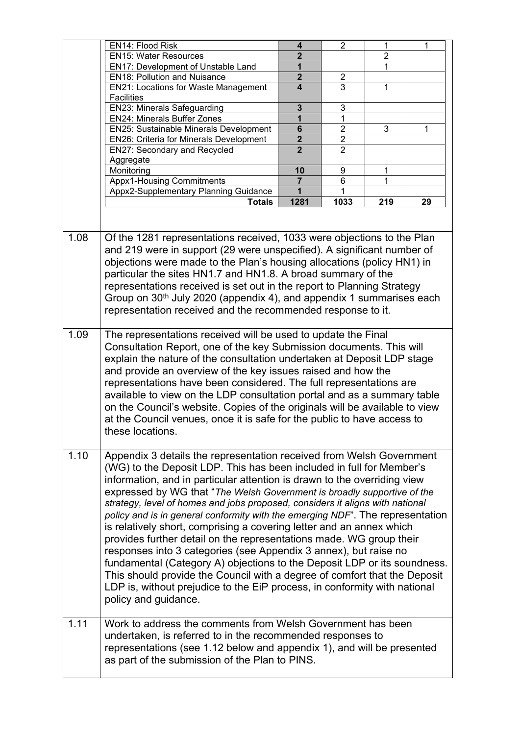|      | EN14: Flood Risk                                                                                                                                                                                                                                                                                                                                                                                                                                                                                                                                                                                                                                                                                                                                                                                                                                                                                                                                        | 4                       | $\overline{2}$ | 1              | $\mathbf 1$ |
|------|---------------------------------------------------------------------------------------------------------------------------------------------------------------------------------------------------------------------------------------------------------------------------------------------------------------------------------------------------------------------------------------------------------------------------------------------------------------------------------------------------------------------------------------------------------------------------------------------------------------------------------------------------------------------------------------------------------------------------------------------------------------------------------------------------------------------------------------------------------------------------------------------------------------------------------------------------------|-------------------------|----------------|----------------|-------------|
|      | <b>EN15: Water Resources</b>                                                                                                                                                                                                                                                                                                                                                                                                                                                                                                                                                                                                                                                                                                                                                                                                                                                                                                                            | $\overline{2}$          |                | $\overline{2}$ |             |
|      | EN17: Development of Unstable Land                                                                                                                                                                                                                                                                                                                                                                                                                                                                                                                                                                                                                                                                                                                                                                                                                                                                                                                      | 1                       |                | $\mathbf{1}$   |             |
|      | <b>EN18: Pollution and Nuisance</b>                                                                                                                                                                                                                                                                                                                                                                                                                                                                                                                                                                                                                                                                                                                                                                                                                                                                                                                     | $\overline{2}$          | $\overline{c}$ |                |             |
|      | EN21: Locations for Waste Management                                                                                                                                                                                                                                                                                                                                                                                                                                                                                                                                                                                                                                                                                                                                                                                                                                                                                                                    | $\overline{\mathbf{4}}$ | 3              | $\mathbf{1}$   |             |
|      | <b>Facilities</b>                                                                                                                                                                                                                                                                                                                                                                                                                                                                                                                                                                                                                                                                                                                                                                                                                                                                                                                                       |                         |                |                |             |
|      | <b>EN23: Minerals Safeguarding</b>                                                                                                                                                                                                                                                                                                                                                                                                                                                                                                                                                                                                                                                                                                                                                                                                                                                                                                                      | 3                       | 3              |                |             |
|      | <b>EN24: Minerals Buffer Zones</b>                                                                                                                                                                                                                                                                                                                                                                                                                                                                                                                                                                                                                                                                                                                                                                                                                                                                                                                      | 1                       |                |                |             |
|      | EN25: Sustainable Minerals Development                                                                                                                                                                                                                                                                                                                                                                                                                                                                                                                                                                                                                                                                                                                                                                                                                                                                                                                  | $6\phantom{a}$          | $\overline{2}$ | 3              | 1           |
|      | <b>EN26: Criteria for Minerals Development</b>                                                                                                                                                                                                                                                                                                                                                                                                                                                                                                                                                                                                                                                                                                                                                                                                                                                                                                          | $\overline{2}$          | $\overline{2}$ |                |             |
|      | EN27: Secondary and Recycled                                                                                                                                                                                                                                                                                                                                                                                                                                                                                                                                                                                                                                                                                                                                                                                                                                                                                                                            | $\overline{2}$          | $\overline{2}$ |                |             |
|      | Aggregate                                                                                                                                                                                                                                                                                                                                                                                                                                                                                                                                                                                                                                                                                                                                                                                                                                                                                                                                               |                         |                |                |             |
|      | Monitoring                                                                                                                                                                                                                                                                                                                                                                                                                                                                                                                                                                                                                                                                                                                                                                                                                                                                                                                                              | 10                      | 9              | 1              |             |
|      | <b>Appx1-Housing Commitments</b>                                                                                                                                                                                                                                                                                                                                                                                                                                                                                                                                                                                                                                                                                                                                                                                                                                                                                                                        | 7                       | 6              | 1              |             |
|      | Appx2-Supplementary Planning Guidance                                                                                                                                                                                                                                                                                                                                                                                                                                                                                                                                                                                                                                                                                                                                                                                                                                                                                                                   | $\mathbf{1}$            |                |                |             |
|      | Totals                                                                                                                                                                                                                                                                                                                                                                                                                                                                                                                                                                                                                                                                                                                                                                                                                                                                                                                                                  | 1281                    | 1033           | 219            | 29          |
|      |                                                                                                                                                                                                                                                                                                                                                                                                                                                                                                                                                                                                                                                                                                                                                                                                                                                                                                                                                         |                         |                |                |             |
|      |                                                                                                                                                                                                                                                                                                                                                                                                                                                                                                                                                                                                                                                                                                                                                                                                                                                                                                                                                         |                         |                |                |             |
| 1.09 | Of the 1281 representations received, 1033 were objections to the Plan<br>and 219 were in support (29 were unspecified). A significant number of<br>objections were made to the Plan's housing allocations (policy HN1) in<br>particular the sites HN1.7 and HN1.8. A broad summary of the<br>representations received is set out in the report to Planning Strategy<br>Group on 30 <sup>th</sup> July 2020 (appendix 4), and appendix 1 summarises each<br>representation received and the recommended response to it.                                                                                                                                                                                                                                                                                                                                                                                                                                 |                         |                |                |             |
|      | The representations received will be used to update the Final<br>Consultation Report, one of the key Submission documents. This will<br>explain the nature of the consultation undertaken at Deposit LDP stage<br>and provide an overview of the key issues raised and how the<br>representations have been considered. The full representations are<br>available to view on the LDP consultation portal and as a summary table<br>on the Council's website. Copies of the originals will be available to view<br>at the Council venues, once it is safe for the public to have access to<br>these locations.                                                                                                                                                                                                                                                                                                                                           |                         |                |                |             |
| 1.10 | Appendix 3 details the representation received from Welsh Government<br>(WG) to the Deposit LDP. This has been included in full for Member's<br>information, and in particular attention is drawn to the overriding view<br>expressed by WG that "The Welsh Government is broadly supportive of the<br>strategy, level of homes and jobs proposed, considers it aligns with national<br>policy and is in general conformity with the emerging NDF". The representation<br>is relatively short, comprising a covering letter and an annex which<br>provides further detail on the representations made. WG group their<br>responses into 3 categories (see Appendix 3 annex), but raise no<br>fundamental (Category A) objections to the Deposit LDP or its soundness.<br>This should provide the Council with a degree of comfort that the Deposit<br>LDP is, without prejudice to the EiP process, in conformity with national<br>policy and guidance. |                         |                |                |             |
| 1.11 | Work to address the comments from Welsh Government has been<br>undertaken, is referred to in the recommended responses to<br>representations (see 1.12 below and appendix 1), and will be presented<br>as part of the submission of the Plan to PINS.                                                                                                                                                                                                                                                                                                                                                                                                                                                                                                                                                                                                                                                                                                   |                         |                |                |             |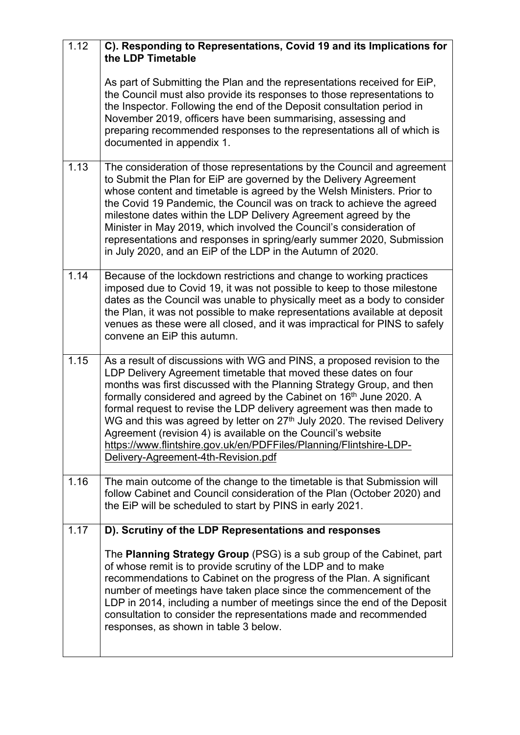| 1.12 | C). Responding to Representations, Covid 19 and its Implications for<br>the LDP Timetable                                                                                                                                                                                                                                                                                                                                                                                                                                                                                                                                                          |
|------|----------------------------------------------------------------------------------------------------------------------------------------------------------------------------------------------------------------------------------------------------------------------------------------------------------------------------------------------------------------------------------------------------------------------------------------------------------------------------------------------------------------------------------------------------------------------------------------------------------------------------------------------------|
|      | As part of Submitting the Plan and the representations received for EiP,<br>the Council must also provide its responses to those representations to<br>the Inspector. Following the end of the Deposit consultation period in<br>November 2019, officers have been summarising, assessing and<br>preparing recommended responses to the representations all of which is<br>documented in appendix 1.                                                                                                                                                                                                                                               |
| 1.13 | The consideration of those representations by the Council and agreement<br>to Submit the Plan for EiP are governed by the Delivery Agreement<br>whose content and timetable is agreed by the Welsh Ministers. Prior to<br>the Covid 19 Pandemic, the Council was on track to achieve the agreed<br>milestone dates within the LDP Delivery Agreement agreed by the<br>Minister in May 2019, which involved the Council's consideration of<br>representations and responses in spring/early summer 2020, Submission<br>in July 2020, and an EiP of the LDP in the Autumn of 2020.                                                                   |
| 1.14 | Because of the lockdown restrictions and change to working practices<br>imposed due to Covid 19, it was not possible to keep to those milestone<br>dates as the Council was unable to physically meet as a body to consider<br>the Plan, it was not possible to make representations available at deposit<br>venues as these were all closed, and it was impractical for PINS to safely<br>convene an EiP this autumn.                                                                                                                                                                                                                             |
| 1.15 | As a result of discussions with WG and PINS, a proposed revision to the<br>LDP Delivery Agreement timetable that moved these dates on four<br>months was first discussed with the Planning Strategy Group, and then<br>formally considered and agreed by the Cabinet on 16 <sup>th</sup> June 2020. A<br>formal request to revise the LDP delivery agreement was then made to<br>WG and this was agreed by letter on 27 <sup>th</sup> July 2020. The revised Delivery<br>Agreement (revision 4) is available on the Council's website<br>https://www.flintshire.gov.uk/en/PDFFiles/Planning/Flintshire-LDP-<br>Delivery-Agreement-4th-Revision.pdf |
| 1.16 | The main outcome of the change to the timetable is that Submission will<br>follow Cabinet and Council consideration of the Plan (October 2020) and<br>the EiP will be scheduled to start by PINS in early 2021.                                                                                                                                                                                                                                                                                                                                                                                                                                    |
| 1.17 | D). Scrutiny of the LDP Representations and responses                                                                                                                                                                                                                                                                                                                                                                                                                                                                                                                                                                                              |
|      | The Planning Strategy Group (PSG) is a sub group of the Cabinet, part<br>of whose remit is to provide scrutiny of the LDP and to make<br>recommendations to Cabinet on the progress of the Plan. A significant<br>number of meetings have taken place since the commencement of the<br>LDP in 2014, including a number of meetings since the end of the Deposit<br>consultation to consider the representations made and recommended<br>responses, as shown in table 3 below.                                                                                                                                                                      |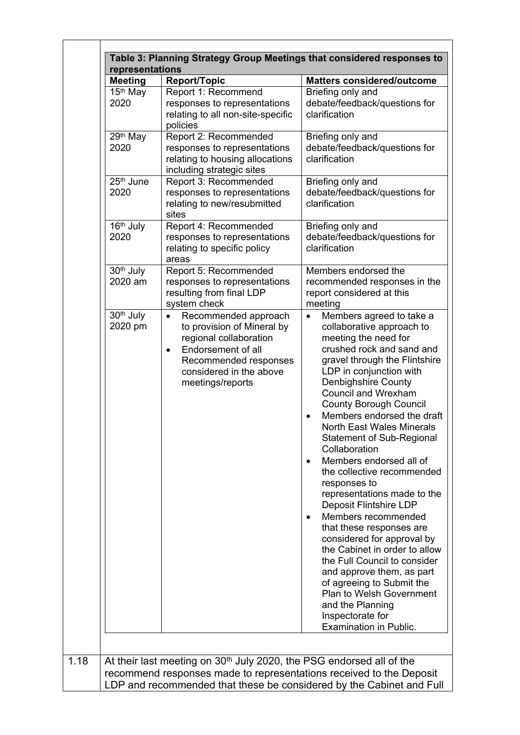| <b>Meeting</b>                   | <b>Report/Topic</b>                                                                                                                                                                                  | <b>Matters considered/outcome</b>                                                                                                                                                                                                                                                                                                                                                                                                                                                                                                                                                                                                                                                                                                                                                                                                                                       |
|----------------------------------|------------------------------------------------------------------------------------------------------------------------------------------------------------------------------------------------------|-------------------------------------------------------------------------------------------------------------------------------------------------------------------------------------------------------------------------------------------------------------------------------------------------------------------------------------------------------------------------------------------------------------------------------------------------------------------------------------------------------------------------------------------------------------------------------------------------------------------------------------------------------------------------------------------------------------------------------------------------------------------------------------------------------------------------------------------------------------------------|
| 15 <sup>th</sup> May<br>2020     | Report 1: Recommend<br>responses to representations<br>relating to all non-site-specific<br>policies                                                                                                 | Briefing only and<br>debate/feedback/questions for<br>clarification                                                                                                                                                                                                                                                                                                                                                                                                                                                                                                                                                                                                                                                                                                                                                                                                     |
| $29th$ May<br>2020               | Report 2: Recommended<br>responses to representations<br>relating to housing allocations<br>including strategic sites                                                                                | Briefing only and<br>debate/feedback/questions for<br>clarification                                                                                                                                                                                                                                                                                                                                                                                                                                                                                                                                                                                                                                                                                                                                                                                                     |
| $25th$ June<br>2020              | Report 3: Recommended<br>responses to representations<br>relating to new/resubmitted<br>sites                                                                                                        | Briefing only and<br>debate/feedback/questions for<br>clarification                                                                                                                                                                                                                                                                                                                                                                                                                                                                                                                                                                                                                                                                                                                                                                                                     |
| 16th July<br>2020                | Report 4: Recommended<br>responses to representations<br>relating to specific policy<br>areas                                                                                                        | Briefing only and<br>debate/feedback/questions for<br>clarification                                                                                                                                                                                                                                                                                                                                                                                                                                                                                                                                                                                                                                                                                                                                                                                                     |
| 30 <sup>th</sup> July<br>2020 am | Report 5: Recommended<br>responses to representations<br>resulting from final LDP<br>system check                                                                                                    | Members endorsed the<br>recommended responses in the<br>report considered at this<br>meeting                                                                                                                                                                                                                                                                                                                                                                                                                                                                                                                                                                                                                                                                                                                                                                            |
| 30 <sup>th</sup> July<br>2020 pm | Recommended approach<br>$\bullet$<br>to provision of Mineral by<br>regional collaboration<br>Endorsement of all<br>$\bullet$<br>Recommended responses<br>considered in the above<br>meetings/reports | Members agreed to take a<br>$\bullet$<br>collaborative approach to<br>meeting the need for<br>crushed rock and sand and<br>gravel through the Flintshire<br>LDP in conjunction with<br>Denbighshire County<br><b>Council and Wrexham</b><br><b>County Borough Council</b><br>Members endorsed the draft<br><b>North East Wales Minerals</b><br><b>Statement of Sub-Regional</b><br>Collaboration<br>Members endorsed all of<br>the collective recommended<br>responses to<br>representations made to the<br>Deposit Flintshire LDP<br>Members recommended<br>$\bullet$<br>that these responses are<br>considered for approval by<br>the Cabinet in order to allow<br>the Full Council to consider<br>and approve them, as part<br>of agreeing to Submit the<br><b>Plan to Welsh Government</b><br>and the Planning<br>Inspectorate for<br><b>Examination in Public.</b> |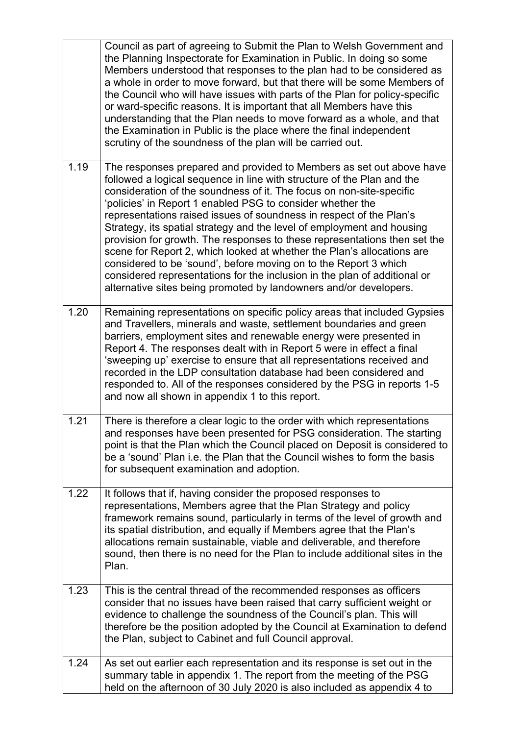|      | Council as part of agreeing to Submit the Plan to Welsh Government and<br>the Planning Inspectorate for Examination in Public. In doing so some<br>Members understood that responses to the plan had to be considered as<br>a whole in order to move forward, but that there will be some Members of<br>the Council who will have issues with parts of the Plan for policy-specific<br>or ward-specific reasons. It is important that all Members have this<br>understanding that the Plan needs to move forward as a whole, and that<br>the Examination in Public is the place where the final independent<br>scrutiny of the soundness of the plan will be carried out.                                                                                                                                          |
|------|--------------------------------------------------------------------------------------------------------------------------------------------------------------------------------------------------------------------------------------------------------------------------------------------------------------------------------------------------------------------------------------------------------------------------------------------------------------------------------------------------------------------------------------------------------------------------------------------------------------------------------------------------------------------------------------------------------------------------------------------------------------------------------------------------------------------|
| 1.19 | The responses prepared and provided to Members as set out above have<br>followed a logical sequence in line with structure of the Plan and the<br>consideration of the soundness of it. The focus on non-site-specific<br>'policies' in Report 1 enabled PSG to consider whether the<br>representations raised issues of soundness in respect of the Plan's<br>Strategy, its spatial strategy and the level of employment and housing<br>provision for growth. The responses to these representations then set the<br>scene for Report 2, which looked at whether the Plan's allocations are<br>considered to be 'sound', before moving on to the Report 3 which<br>considered representations for the inclusion in the plan of additional or<br>alternative sites being promoted by landowners and/or developers. |
| 1.20 | Remaining representations on specific policy areas that included Gypsies<br>and Travellers, minerals and waste, settlement boundaries and green<br>barriers, employment sites and renewable energy were presented in<br>Report 4. The responses dealt with in Report 5 were in effect a final<br>'sweeping up' exercise to ensure that all representations received and<br>recorded in the LDP consultation database had been considered and<br>responded to. All of the responses considered by the PSG in reports 1-5<br>and now all shown in appendix 1 to this report.                                                                                                                                                                                                                                         |
| 1.21 | There is therefore a clear logic to the order with which representations<br>and responses have been presented for PSG consideration. The starting<br>point is that the Plan which the Council placed on Deposit is considered to<br>be a 'sound' Plan i.e. the Plan that the Council wishes to form the basis<br>for subsequent examination and adoption.                                                                                                                                                                                                                                                                                                                                                                                                                                                          |
| 1.22 | It follows that if, having consider the proposed responses to<br>representations, Members agree that the Plan Strategy and policy<br>framework remains sound, particularly in terms of the level of growth and<br>its spatial distribution, and equally if Members agree that the Plan's<br>allocations remain sustainable, viable and deliverable, and therefore<br>sound, then there is no need for the Plan to include additional sites in the<br>Plan.                                                                                                                                                                                                                                                                                                                                                         |
| 1.23 | This is the central thread of the recommended responses as officers<br>consider that no issues have been raised that carry sufficient weight or<br>evidence to challenge the soundness of the Council's plan. This will<br>therefore be the position adopted by the Council at Examination to defend<br>the Plan, subject to Cabinet and full Council approval.                                                                                                                                                                                                                                                                                                                                                                                                                                                    |
| 1.24 | As set out earlier each representation and its response is set out in the<br>summary table in appendix 1. The report from the meeting of the PSG<br>held on the afternoon of 30 July 2020 is also included as appendix 4 to                                                                                                                                                                                                                                                                                                                                                                                                                                                                                                                                                                                        |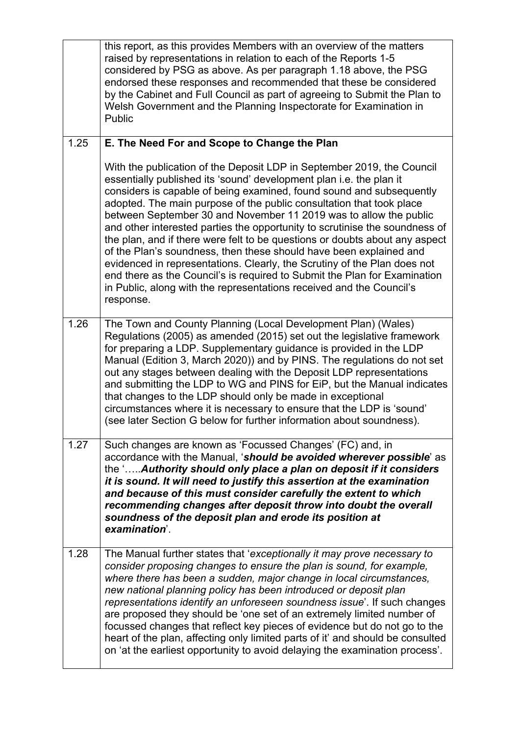|      | this report, as this provides Members with an overview of the matters<br>raised by representations in relation to each of the Reports 1-5<br>considered by PSG as above. As per paragraph 1.18 above, the PSG<br>endorsed these responses and recommended that these be considered<br>by the Cabinet and Full Council as part of agreeing to Submit the Plan to<br>Welsh Government and the Planning Inspectorate for Examination in<br>Public                                                                                                                                                                                                                                                                                                                                                                                                       |
|------|------------------------------------------------------------------------------------------------------------------------------------------------------------------------------------------------------------------------------------------------------------------------------------------------------------------------------------------------------------------------------------------------------------------------------------------------------------------------------------------------------------------------------------------------------------------------------------------------------------------------------------------------------------------------------------------------------------------------------------------------------------------------------------------------------------------------------------------------------|
| 1.25 | E. The Need For and Scope to Change the Plan                                                                                                                                                                                                                                                                                                                                                                                                                                                                                                                                                                                                                                                                                                                                                                                                         |
|      | With the publication of the Deposit LDP in September 2019, the Council<br>essentially published its 'sound' development plan i.e. the plan it<br>considers is capable of being examined, found sound and subsequently<br>adopted. The main purpose of the public consultation that took place<br>between September 30 and November 11 2019 was to allow the public<br>and other interested parties the opportunity to scrutinise the soundness of<br>the plan, and if there were felt to be questions or doubts about any aspect<br>of the Plan's soundness, then these should have been explained and<br>evidenced in representations. Clearly, the Scrutiny of the Plan does not<br>end there as the Council's is required to Submit the Plan for Examination<br>in Public, along with the representations received and the Council's<br>response. |
| 1.26 | The Town and County Planning (Local Development Plan) (Wales)<br>Regulations (2005) as amended (2015) set out the legislative framework<br>for preparing a LDP. Supplementary guidance is provided in the LDP<br>Manual (Edition 3, March 2020)) and by PINS. The regulations do not set<br>out any stages between dealing with the Deposit LDP representations<br>and submitting the LDP to WG and PINS for EiP, but the Manual indicates<br>that changes to the LDP should only be made in exceptional<br>circumstances where it is necessary to ensure that the LDP is 'sound'<br>(see later Section G below for further information about soundness).                                                                                                                                                                                            |
| 1.27 | Such changes are known as 'Focussed Changes' (FC) and, in<br>accordance with the Manual, 'should be avoided wherever possible' as<br>the ' Authority should only place a plan on deposit if it considers<br>it is sound. It will need to justify this assertion at the examination<br>and because of this must consider carefully the extent to which<br>recommending changes after deposit throw into doubt the overall<br>soundness of the deposit plan and erode its position at<br>examination'.                                                                                                                                                                                                                                                                                                                                                 |
| 1.28 | The Manual further states that 'exceptionally it may prove necessary to<br>consider proposing changes to ensure the plan is sound, for example,<br>where there has been a sudden, major change in local circumstances,<br>new national planning policy has been introduced or deposit plan<br>representations identify an unforeseen soundness issue'. If such changes<br>are proposed they should be 'one set of an extremely limited number of<br>focussed changes that reflect key pieces of evidence but do not go to the<br>heart of the plan, affecting only limited parts of it' and should be consulted<br>on 'at the earliest opportunity to avoid delaying the examination process'.                                                                                                                                                       |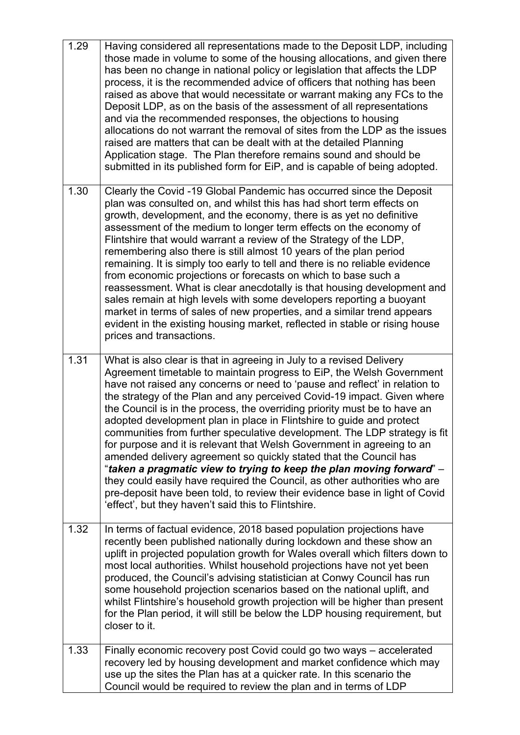| 1.29 | Having considered all representations made to the Deposit LDP, including<br>those made in volume to some of the housing allocations, and given there<br>has been no change in national policy or legislation that affects the LDP<br>process, it is the recommended advice of officers that nothing has been<br>raised as above that would necessitate or warrant making any FCs to the<br>Deposit LDP, as on the basis of the assessment of all representations<br>and via the recommended responses, the objections to housing<br>allocations do not warrant the removal of sites from the LDP as the issues<br>raised are matters that can be dealt with at the detailed Planning<br>Application stage. The Plan therefore remains sound and should be<br>submitted in its published form for EiP, and is capable of being adopted.                                                                                                                                             |
|------|------------------------------------------------------------------------------------------------------------------------------------------------------------------------------------------------------------------------------------------------------------------------------------------------------------------------------------------------------------------------------------------------------------------------------------------------------------------------------------------------------------------------------------------------------------------------------------------------------------------------------------------------------------------------------------------------------------------------------------------------------------------------------------------------------------------------------------------------------------------------------------------------------------------------------------------------------------------------------------|
| 1.30 | Clearly the Covid -19 Global Pandemic has occurred since the Deposit<br>plan was consulted on, and whilst this has had short term effects on<br>growth, development, and the economy, there is as yet no definitive<br>assessment of the medium to longer term effects on the economy of<br>Flintshire that would warrant a review of the Strategy of the LDP,<br>remembering also there is still almost 10 years of the plan period<br>remaining. It is simply too early to tell and there is no reliable evidence<br>from economic projections or forecasts on which to base such a<br>reassessment. What is clear anecdotally is that housing development and<br>sales remain at high levels with some developers reporting a buoyant<br>market in terms of sales of new properties, and a similar trend appears<br>evident in the existing housing market, reflected in stable or rising house<br>prices and transactions.                                                     |
| 1.31 | What is also clear is that in agreeing in July to a revised Delivery<br>Agreement timetable to maintain progress to EiP, the Welsh Government<br>have not raised any concerns or need to 'pause and reflect' in relation to<br>the strategy of the Plan and any perceived Covid-19 impact. Given where<br>the Council is in the process, the overriding priority must be to have an<br>adopted development plan in place in Flintshire to guide and protect<br>communities from further speculative development. The LDP strategy is fit<br>for purpose and it is relevant that Welsh Government in agreeing to an<br>amended delivery agreement so quickly stated that the Council has<br>"taken a pragmatic view to trying to keep the plan moving forward" -<br>they could easily have required the Council, as other authorities who are<br>pre-deposit have been told, to review their evidence base in light of Covid<br>'effect', but they haven't said this to Flintshire. |
| 1.32 | In terms of factual evidence, 2018 based population projections have<br>recently been published nationally during lockdown and these show an<br>uplift in projected population growth for Wales overall which filters down to<br>most local authorities. Whilst household projections have not yet been<br>produced, the Council's advising statistician at Conwy Council has run<br>some household projection scenarios based on the national uplift, and<br>whilst Flintshire's household growth projection will be higher than present<br>for the Plan period, it will still be below the LDP housing requirement, but<br>closer to it.                                                                                                                                                                                                                                                                                                                                         |
| 1.33 | Finally economic recovery post Covid could go two ways – accelerated<br>recovery led by housing development and market confidence which may<br>use up the sites the Plan has at a quicker rate. In this scenario the<br>Council would be required to review the plan and in terms of LDP                                                                                                                                                                                                                                                                                                                                                                                                                                                                                                                                                                                                                                                                                           |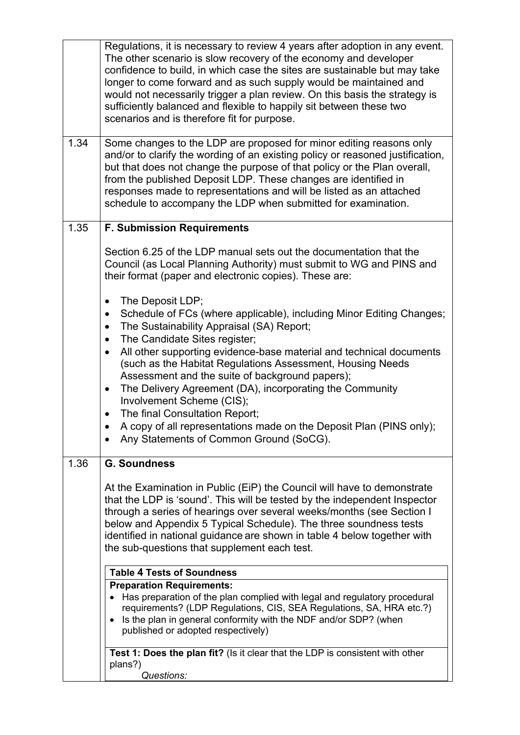|      | Regulations, it is necessary to review 4 years after adoption in any event.<br>The other scenario is slow recovery of the economy and developer<br>confidence to build, in which case the sites are sustainable but may take<br>longer to come forward and as such supply would be maintained and<br>would not necessarily trigger a plan review. On this basis the strategy is<br>sufficiently balanced and flexible to happily sit between these two<br>scenarios and is therefore fit for purpose.                                                                                                                                                                                                  |
|------|--------------------------------------------------------------------------------------------------------------------------------------------------------------------------------------------------------------------------------------------------------------------------------------------------------------------------------------------------------------------------------------------------------------------------------------------------------------------------------------------------------------------------------------------------------------------------------------------------------------------------------------------------------------------------------------------------------|
| 1.34 | Some changes to the LDP are proposed for minor editing reasons only<br>and/or to clarify the wording of an existing policy or reasoned justification,<br>but that does not change the purpose of that policy or the Plan overall,<br>from the published Deposit LDP. These changes are identified in<br>responses made to representations and will be listed as an attached<br>schedule to accompany the LDP when submitted for examination.                                                                                                                                                                                                                                                           |
| 1.35 | <b>F. Submission Requirements</b>                                                                                                                                                                                                                                                                                                                                                                                                                                                                                                                                                                                                                                                                      |
|      | Section 6.25 of the LDP manual sets out the documentation that the<br>Council (as Local Planning Authority) must submit to WG and PINS and<br>their format (paper and electronic copies). These are:                                                                                                                                                                                                                                                                                                                                                                                                                                                                                                   |
|      | The Deposit LDP;<br>$\bullet$<br>Schedule of FCs (where applicable), including Minor Editing Changes;<br>$\bullet$<br>The Sustainability Appraisal (SA) Report;<br>$\bullet$<br>The Candidate Sites register;<br>$\bullet$<br>All other supporting evidence-base material and technical documents<br>$\bullet$<br>(such as the Habitat Regulations Assessment, Housing Needs<br>Assessment and the suite of background papers);<br>The Delivery Agreement (DA), incorporating the Community<br>$\bullet$<br>Involvement Scheme (CIS);<br>The final Consultation Report;<br>$\bullet$<br>A copy of all representations made on the Deposit Plan (PINS only);<br>Any Statements of Common Ground (SoCG). |
| 1.36 | <b>G. Soundness</b><br>At the Examination in Public (EiP) the Council will have to demonstrate<br>that the LDP is 'sound'. This will be tested by the independent Inspector<br>through a series of hearings over several weeks/months (see Section I<br>below and Appendix 5 Typical Schedule). The three soundness tests<br>identified in national guidance are shown in table 4 below together with<br>the sub-questions that supplement each test.                                                                                                                                                                                                                                                  |
|      | <b>Table 4 Tests of Soundness</b>                                                                                                                                                                                                                                                                                                                                                                                                                                                                                                                                                                                                                                                                      |
|      | <b>Preparation Requirements:</b><br>• Has preparation of the plan complied with legal and regulatory procedural<br>requirements? (LDP Regulations, CIS, SEA Regulations, SA, HRA etc.?)<br>Is the plan in general conformity with the NDF and/or SDP? (when<br>$\bullet$<br>published or adopted respectively)                                                                                                                                                                                                                                                                                                                                                                                         |
|      | Test 1: Does the plan fit? (Is it clear that the LDP is consistent with other<br>plans?)<br>Questions:                                                                                                                                                                                                                                                                                                                                                                                                                                                                                                                                                                                                 |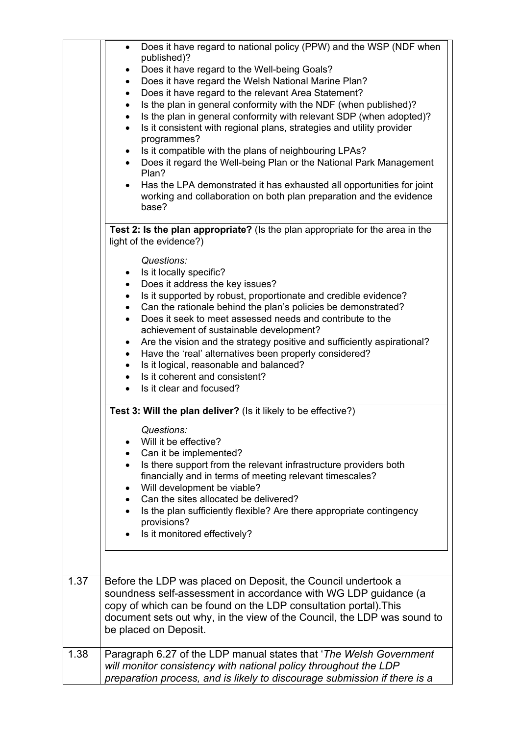|      | Does it have regard to national policy (PPW) and the WSP (NDF when<br>$\bullet$<br>published)?<br>Does it have regard to the Well-being Goals?<br>$\bullet$<br>Does it have regard the Welsh National Marine Plan?<br>$\bullet$<br>Does it have regard to the relevant Area Statement?<br>$\bullet$<br>Is the plan in general conformity with the NDF (when published)?<br>$\bullet$<br>Is the plan in general conformity with relevant SDP (when adopted)?<br>$\bullet$<br>Is it consistent with regional plans, strategies and utility provider<br>$\bullet$<br>programmes?<br>Is it compatible with the plans of neighbouring LPAs?<br>$\bullet$<br>Does it regard the Well-being Plan or the National Park Management<br>Plan?<br>Has the LPA demonstrated it has exhausted all opportunities for joint<br>$\bullet$<br>working and collaboration on both plan preparation and the evidence<br>base?<br>Test 2: Is the plan appropriate? (Is the plan appropriate for the area in the<br>light of the evidence?)<br>Questions: |
|------|------------------------------------------------------------------------------------------------------------------------------------------------------------------------------------------------------------------------------------------------------------------------------------------------------------------------------------------------------------------------------------------------------------------------------------------------------------------------------------------------------------------------------------------------------------------------------------------------------------------------------------------------------------------------------------------------------------------------------------------------------------------------------------------------------------------------------------------------------------------------------------------------------------------------------------------------------------------------------------------------------------------------------------|
|      | Is it locally specific?<br>$\bullet$                                                                                                                                                                                                                                                                                                                                                                                                                                                                                                                                                                                                                                                                                                                                                                                                                                                                                                                                                                                               |
|      | Does it address the key issues?<br>$\bullet$                                                                                                                                                                                                                                                                                                                                                                                                                                                                                                                                                                                                                                                                                                                                                                                                                                                                                                                                                                                       |
|      | Is it supported by robust, proportionate and credible evidence?<br>$\bullet$<br>Can the rationale behind the plan's policies be demonstrated?<br>$\bullet$                                                                                                                                                                                                                                                                                                                                                                                                                                                                                                                                                                                                                                                                                                                                                                                                                                                                         |
|      | Does it seek to meet assessed needs and contribute to the<br>$\bullet$                                                                                                                                                                                                                                                                                                                                                                                                                                                                                                                                                                                                                                                                                                                                                                                                                                                                                                                                                             |
|      | achievement of sustainable development?<br>Are the vision and the strategy positive and sufficiently aspirational?                                                                                                                                                                                                                                                                                                                                                                                                                                                                                                                                                                                                                                                                                                                                                                                                                                                                                                                 |
|      | $\bullet$<br>Have the 'real' alternatives been properly considered?<br>$\bullet$                                                                                                                                                                                                                                                                                                                                                                                                                                                                                                                                                                                                                                                                                                                                                                                                                                                                                                                                                   |
|      | Is it logical, reasonable and balanced?<br>$\bullet$                                                                                                                                                                                                                                                                                                                                                                                                                                                                                                                                                                                                                                                                                                                                                                                                                                                                                                                                                                               |
|      | Is it coherent and consistent?<br>$\bullet$<br>Is it clear and focused?                                                                                                                                                                                                                                                                                                                                                                                                                                                                                                                                                                                                                                                                                                                                                                                                                                                                                                                                                            |
|      |                                                                                                                                                                                                                                                                                                                                                                                                                                                                                                                                                                                                                                                                                                                                                                                                                                                                                                                                                                                                                                    |
|      | Test 3: Will the plan deliver? (Is it likely to be effective?)                                                                                                                                                                                                                                                                                                                                                                                                                                                                                                                                                                                                                                                                                                                                                                                                                                                                                                                                                                     |
|      | Questions:                                                                                                                                                                                                                                                                                                                                                                                                                                                                                                                                                                                                                                                                                                                                                                                                                                                                                                                                                                                                                         |
|      | Will it be effective?<br>Can it be implemented?                                                                                                                                                                                                                                                                                                                                                                                                                                                                                                                                                                                                                                                                                                                                                                                                                                                                                                                                                                                    |
|      | Is there support from the relevant infrastructure providers both                                                                                                                                                                                                                                                                                                                                                                                                                                                                                                                                                                                                                                                                                                                                                                                                                                                                                                                                                                   |
|      | financially and in terms of meeting relevant timescales?                                                                                                                                                                                                                                                                                                                                                                                                                                                                                                                                                                                                                                                                                                                                                                                                                                                                                                                                                                           |
|      | Will development be viable?<br>Can the sites allocated be delivered?                                                                                                                                                                                                                                                                                                                                                                                                                                                                                                                                                                                                                                                                                                                                                                                                                                                                                                                                                               |
|      | Is the plan sufficiently flexible? Are there appropriate contingency                                                                                                                                                                                                                                                                                                                                                                                                                                                                                                                                                                                                                                                                                                                                                                                                                                                                                                                                                               |
|      | provisions?                                                                                                                                                                                                                                                                                                                                                                                                                                                                                                                                                                                                                                                                                                                                                                                                                                                                                                                                                                                                                        |
|      | Is it monitored effectively?                                                                                                                                                                                                                                                                                                                                                                                                                                                                                                                                                                                                                                                                                                                                                                                                                                                                                                                                                                                                       |
|      |                                                                                                                                                                                                                                                                                                                                                                                                                                                                                                                                                                                                                                                                                                                                                                                                                                                                                                                                                                                                                                    |
| 1.37 | Before the LDP was placed on Deposit, the Council undertook a<br>soundness self-assessment in accordance with WG LDP guidance (a<br>copy of which can be found on the LDP consultation portal). This<br>document sets out why, in the view of the Council, the LDP was sound to<br>be placed on Deposit.                                                                                                                                                                                                                                                                                                                                                                                                                                                                                                                                                                                                                                                                                                                           |
| 1.38 | Paragraph 6.27 of the LDP manual states that 'The Welsh Government<br>will monitor consistency with national policy throughout the LDP<br>preparation process, and is likely to discourage submission if there is a                                                                                                                                                                                                                                                                                                                                                                                                                                                                                                                                                                                                                                                                                                                                                                                                                |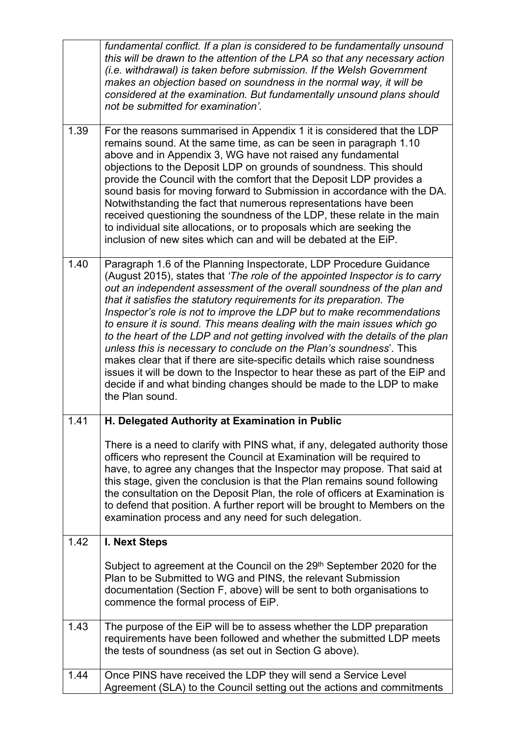|      | fundamental conflict. If a plan is considered to be fundamentally unsound<br>this will be drawn to the attention of the LPA so that any necessary action<br>(i.e. withdrawal) is taken before submission. If the Welsh Government<br>makes an objection based on soundness in the normal way, it will be<br>considered at the examination. But fundamentally unsound plans should<br>not be submitted for examination'.                                                                                                                                                                                                                                                                                                                                                                                                                                                   |
|------|---------------------------------------------------------------------------------------------------------------------------------------------------------------------------------------------------------------------------------------------------------------------------------------------------------------------------------------------------------------------------------------------------------------------------------------------------------------------------------------------------------------------------------------------------------------------------------------------------------------------------------------------------------------------------------------------------------------------------------------------------------------------------------------------------------------------------------------------------------------------------|
| 1.39 | For the reasons summarised in Appendix 1 it is considered that the LDP<br>remains sound. At the same time, as can be seen in paragraph 1.10<br>above and in Appendix 3, WG have not raised any fundamental<br>objections to the Deposit LDP on grounds of soundness. This should<br>provide the Council with the comfort that the Deposit LDP provides a<br>sound basis for moving forward to Submission in accordance with the DA.<br>Notwithstanding the fact that numerous representations have been<br>received questioning the soundness of the LDP, these relate in the main<br>to individual site allocations, or to proposals which are seeking the<br>inclusion of new sites which can and will be debated at the EiP.                                                                                                                                           |
| 1.40 | Paragraph 1.6 of the Planning Inspectorate, LDP Procedure Guidance<br>(August 2015), states that 'The role of the appointed Inspector is to carry<br>out an independent assessment of the overall soundness of the plan and<br>that it satisfies the statutory requirements for its preparation. The<br>Inspector's role is not to improve the LDP but to make recommendations<br>to ensure it is sound. This means dealing with the main issues which go<br>to the heart of the LDP and not getting involved with the details of the plan<br>unless this is necessary to conclude on the Plan's soundness'. This<br>makes clear that if there are site-specific details which raise soundness<br>issues it will be down to the Inspector to hear these as part of the EiP and<br>decide if and what binding changes should be made to the LDP to make<br>the Plan sound. |
| 1.41 | H. Delegated Authority at Examination in Public                                                                                                                                                                                                                                                                                                                                                                                                                                                                                                                                                                                                                                                                                                                                                                                                                           |
|      | There is a need to clarify with PINS what, if any, delegated authority those<br>officers who represent the Council at Examination will be required to<br>have, to agree any changes that the Inspector may propose. That said at<br>this stage, given the conclusion is that the Plan remains sound following<br>the consultation on the Deposit Plan, the role of officers at Examination is<br>to defend that position. A further report will be brought to Members on the<br>examination process and any need for such delegation.                                                                                                                                                                                                                                                                                                                                     |
| 1.42 | <b>I. Next Steps</b>                                                                                                                                                                                                                                                                                                                                                                                                                                                                                                                                                                                                                                                                                                                                                                                                                                                      |
|      | Subject to agreement at the Council on the 29 <sup>th</sup> September 2020 for the<br>Plan to be Submitted to WG and PINS, the relevant Submission<br>documentation (Section F, above) will be sent to both organisations to<br>commence the formal process of EiP.                                                                                                                                                                                                                                                                                                                                                                                                                                                                                                                                                                                                       |
| 1.43 | The purpose of the EiP will be to assess whether the LDP preparation<br>requirements have been followed and whether the submitted LDP meets<br>the tests of soundness (as set out in Section G above).                                                                                                                                                                                                                                                                                                                                                                                                                                                                                                                                                                                                                                                                    |
| 1.44 | Once PINS have received the LDP they will send a Service Level<br>Agreement (SLA) to the Council setting out the actions and commitments                                                                                                                                                                                                                                                                                                                                                                                                                                                                                                                                                                                                                                                                                                                                  |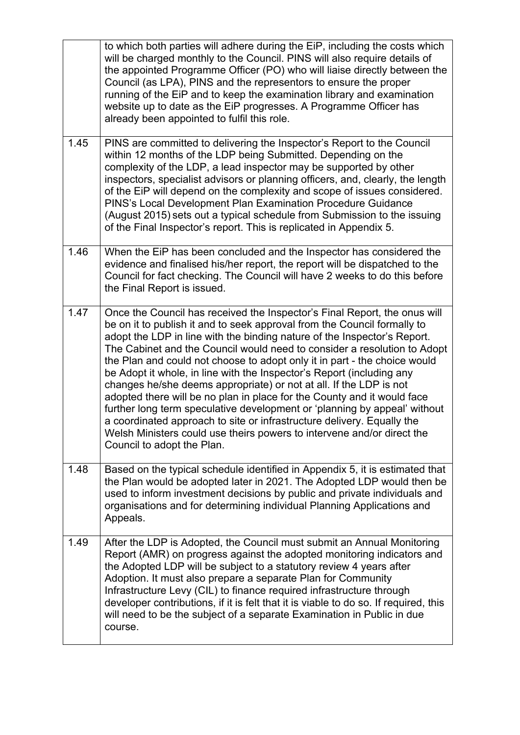|      | to which both parties will adhere during the EiP, including the costs which<br>will be charged monthly to the Council. PINS will also require details of<br>the appointed Programme Officer (PO) who will liaise directly between the<br>Council (as LPA), PINS and the representors to ensure the proper<br>running of the EiP and to keep the examination library and examination<br>website up to date as the EiP progresses. A Programme Officer has<br>already been appointed to fulfil this role.                                                                                                                                                                                                                                                                                                                                                                             |
|------|-------------------------------------------------------------------------------------------------------------------------------------------------------------------------------------------------------------------------------------------------------------------------------------------------------------------------------------------------------------------------------------------------------------------------------------------------------------------------------------------------------------------------------------------------------------------------------------------------------------------------------------------------------------------------------------------------------------------------------------------------------------------------------------------------------------------------------------------------------------------------------------|
| 1.45 | PINS are committed to delivering the Inspector's Report to the Council<br>within 12 months of the LDP being Submitted. Depending on the<br>complexity of the LDP, a lead inspector may be supported by other<br>inspectors, specialist advisors or planning officers, and, clearly, the length<br>of the EiP will depend on the complexity and scope of issues considered.<br>PINS's Local Development Plan Examination Procedure Guidance<br>(August 2015) sets out a typical schedule from Submission to the issuing<br>of the Final Inspector's report. This is replicated in Appendix 5.                                                                                                                                                                                                                                                                                        |
| 1.46 | When the EiP has been concluded and the Inspector has considered the<br>evidence and finalised his/her report, the report will be dispatched to the<br>Council for fact checking. The Council will have 2 weeks to do this before<br>the Final Report is issued.                                                                                                                                                                                                                                                                                                                                                                                                                                                                                                                                                                                                                    |
| 1.47 | Once the Council has received the Inspector's Final Report, the onus will<br>be on it to publish it and to seek approval from the Council formally to<br>adopt the LDP in line with the binding nature of the Inspector's Report.<br>The Cabinet and the Council would need to consider a resolution to Adopt<br>the Plan and could not choose to adopt only it in part - the choice would<br>be Adopt it whole, in line with the Inspector's Report (including any<br>changes he/she deems appropriate) or not at all. If the LDP is not<br>adopted there will be no plan in place for the County and it would face<br>further long term speculative development or 'planning by appeal' without<br>a coordinated approach to site or infrastructure delivery. Equally the<br>Welsh Ministers could use theirs powers to intervene and/or direct the<br>Council to adopt the Plan. |
| 1.48 | Based on the typical schedule identified in Appendix 5, it is estimated that<br>the Plan would be adopted later in 2021. The Adopted LDP would then be<br>used to inform investment decisions by public and private individuals and<br>organisations and for determining individual Planning Applications and<br>Appeals.                                                                                                                                                                                                                                                                                                                                                                                                                                                                                                                                                           |
| 1.49 | After the LDP is Adopted, the Council must submit an Annual Monitoring<br>Report (AMR) on progress against the adopted monitoring indicators and<br>the Adopted LDP will be subject to a statutory review 4 years after<br>Adoption. It must also prepare a separate Plan for Community<br>Infrastructure Levy (CIL) to finance required infrastructure through<br>developer contributions, if it is felt that it is viable to do so. If required, this<br>will need to be the subject of a separate Examination in Public in due<br>course.                                                                                                                                                                                                                                                                                                                                        |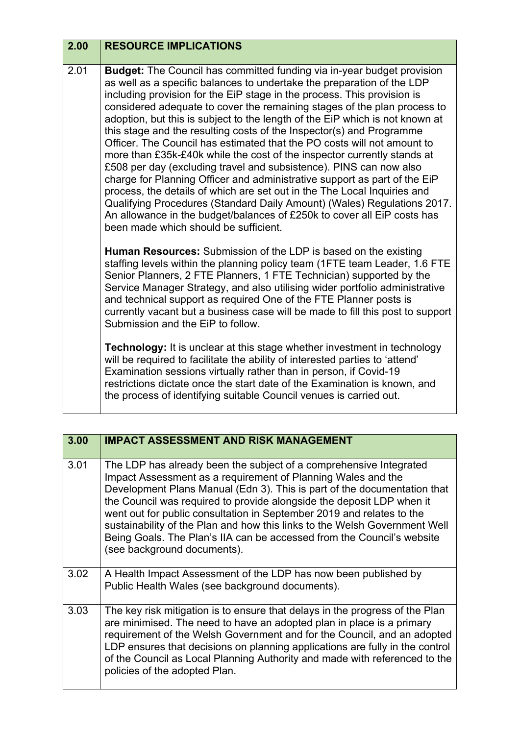| 2.00 | <b>RESOURCE IMPLICATIONS</b>                                                                                                                                                                                                                                                                                                                                                                                                                                                                                                                                                                                                                                                                                                                                                                                                                                                                                                                                                                                                                               |
|------|------------------------------------------------------------------------------------------------------------------------------------------------------------------------------------------------------------------------------------------------------------------------------------------------------------------------------------------------------------------------------------------------------------------------------------------------------------------------------------------------------------------------------------------------------------------------------------------------------------------------------------------------------------------------------------------------------------------------------------------------------------------------------------------------------------------------------------------------------------------------------------------------------------------------------------------------------------------------------------------------------------------------------------------------------------|
|      |                                                                                                                                                                                                                                                                                                                                                                                                                                                                                                                                                                                                                                                                                                                                                                                                                                                                                                                                                                                                                                                            |
| 2.01 | <b>Budget:</b> The Council has committed funding via in-year budget provision<br>as well as a specific balances to undertake the preparation of the LDP<br>including provision for the EiP stage in the process. This provision is<br>considered adequate to cover the remaining stages of the plan process to<br>adoption, but this is subject to the length of the EiP which is not known at<br>this stage and the resulting costs of the Inspector(s) and Programme<br>Officer. The Council has estimated that the PO costs will not amount to<br>more than £35k-£40k while the cost of the inspector currently stands at<br>£508 per day (excluding travel and subsistence). PINS can now also<br>charge for Planning Officer and administrative support as part of the EiP<br>process, the details of which are set out in the The Local Inquiries and<br>Qualifying Procedures (Standard Daily Amount) (Wales) Regulations 2017.<br>An allowance in the budget/balances of £250k to cover all EiP costs has<br>been made which should be sufficient. |
|      | <b>Human Resources:</b> Submission of the LDP is based on the existing<br>staffing levels within the planning policy team (1FTE team Leader, 1.6 FTE<br>Senior Planners, 2 FTE Planners, 1 FTE Technician) supported by the<br>Service Manager Strategy, and also utilising wider portfolio administrative<br>and technical support as required One of the FTE Planner posts is<br>currently vacant but a business case will be made to fill this post to support<br>Submission and the EiP to follow.                                                                                                                                                                                                                                                                                                                                                                                                                                                                                                                                                     |
|      | <b>Technology:</b> It is unclear at this stage whether investment in technology<br>will be required to facilitate the ability of interested parties to 'attend'<br>Examination sessions virtually rather than in person, if Covid-19<br>restrictions dictate once the start date of the Examination is known, and<br>the process of identifying suitable Council venues is carried out.                                                                                                                                                                                                                                                                                                                                                                                                                                                                                                                                                                                                                                                                    |

| 3.00 | <b>IMPACT ASSESSMENT AND RISK MANAGEMENT</b>                                                                                                                                                                                                                                                                                                                                                                                                                                                                                                            |
|------|---------------------------------------------------------------------------------------------------------------------------------------------------------------------------------------------------------------------------------------------------------------------------------------------------------------------------------------------------------------------------------------------------------------------------------------------------------------------------------------------------------------------------------------------------------|
| 3.01 | The LDP has already been the subject of a comprehensive Integrated<br>Impact Assessment as a requirement of Planning Wales and the<br>Development Plans Manual (Edn 3). This is part of the documentation that<br>the Council was required to provide alongside the deposit LDP when it<br>went out for public consultation in September 2019 and relates to the<br>sustainability of the Plan and how this links to the Welsh Government Well<br>Being Goals. The Plan's IIA can be accessed from the Council's website<br>(see background documents). |
| 3.02 | A Health Impact Assessment of the LDP has now been published by<br>Public Health Wales (see background documents).                                                                                                                                                                                                                                                                                                                                                                                                                                      |
| 3.03 | The key risk mitigation is to ensure that delays in the progress of the Plan<br>are minimised. The need to have an adopted plan in place is a primary<br>requirement of the Welsh Government and for the Council, and an adopted<br>LDP ensures that decisions on planning applications are fully in the control<br>of the Council as Local Planning Authority and made with referenced to the<br>policies of the adopted Plan.                                                                                                                         |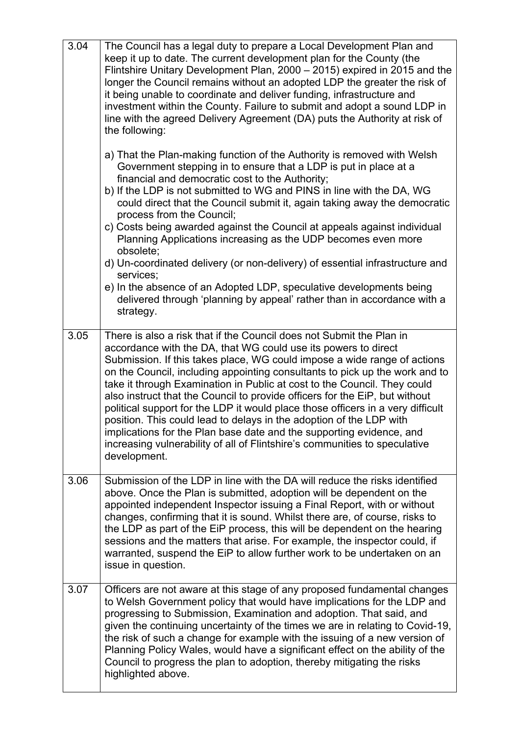| 3.04 | The Council has a legal duty to prepare a Local Development Plan and<br>keep it up to date. The current development plan for the County (the<br>Flintshire Unitary Development Plan, 2000 - 2015) expired in 2015 and the<br>longer the Council remains without an adopted LDP the greater the risk of<br>it being unable to coordinate and deliver funding, infrastructure and<br>investment within the County. Failure to submit and adopt a sound LDP in<br>line with the agreed Delivery Agreement (DA) puts the Authority at risk of<br>the following:                                                                                                                                                                                                                                  |
|------|----------------------------------------------------------------------------------------------------------------------------------------------------------------------------------------------------------------------------------------------------------------------------------------------------------------------------------------------------------------------------------------------------------------------------------------------------------------------------------------------------------------------------------------------------------------------------------------------------------------------------------------------------------------------------------------------------------------------------------------------------------------------------------------------|
|      | a) That the Plan-making function of the Authority is removed with Welsh<br>Government stepping in to ensure that a LDP is put in place at a<br>financial and democratic cost to the Authority;<br>b) If the LDP is not submitted to WG and PINS in line with the DA, WG<br>could direct that the Council submit it, again taking away the democratic<br>process from the Council;<br>c) Costs being awarded against the Council at appeals against individual                                                                                                                                                                                                                                                                                                                                |
|      | Planning Applications increasing as the UDP becomes even more<br>obsolete;                                                                                                                                                                                                                                                                                                                                                                                                                                                                                                                                                                                                                                                                                                                   |
|      | d) Un-coordinated delivery (or non-delivery) of essential infrastructure and<br>services;                                                                                                                                                                                                                                                                                                                                                                                                                                                                                                                                                                                                                                                                                                    |
|      | e) In the absence of an Adopted LDP, speculative developments being<br>delivered through 'planning by appeal' rather than in accordance with a<br>strategy.                                                                                                                                                                                                                                                                                                                                                                                                                                                                                                                                                                                                                                  |
| 3.05 | There is also a risk that if the Council does not Submit the Plan in<br>accordance with the DA, that WG could use its powers to direct<br>Submission. If this takes place, WG could impose a wide range of actions<br>on the Council, including appointing consultants to pick up the work and to<br>take it through Examination in Public at cost to the Council. They could<br>also instruct that the Council to provide officers for the EiP, but without<br>political support for the LDP it would place those officers in a very difficult<br>position. This could lead to delays in the adoption of the LDP with<br>implications for the Plan base date and the supporting evidence, and<br>increasing vulnerability of all of Flintshire's communities to speculative<br>development. |
| 3.06 | Submission of the LDP in line with the DA will reduce the risks identified<br>above. Once the Plan is submitted, adoption will be dependent on the<br>appointed independent Inspector issuing a Final Report, with or without<br>changes, confirming that it is sound. Whilst there are, of course, risks to<br>the LDP as part of the EiP process, this will be dependent on the hearing<br>sessions and the matters that arise. For example, the inspector could, if<br>warranted, suspend the EiP to allow further work to be undertaken on an<br>issue in question.                                                                                                                                                                                                                      |
| 3.07 | Officers are not aware at this stage of any proposed fundamental changes<br>to Welsh Government policy that would have implications for the LDP and<br>progressing to Submission, Examination and adoption. That said, and<br>given the continuing uncertainty of the times we are in relating to Covid-19,<br>the risk of such a change for example with the issuing of a new version of<br>Planning Policy Wales, would have a significant effect on the ability of the<br>Council to progress the plan to adoption, thereby mitigating the risks<br>highlighted above.                                                                                                                                                                                                                    |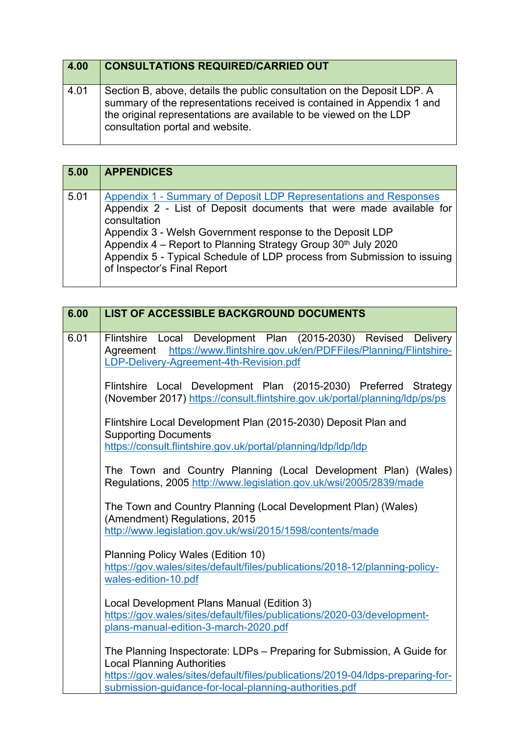| 4.00 | <b>CONSULTATIONS REQUIRED/CARRIED OUT</b>                                                                                                                                                                                                                   |
|------|-------------------------------------------------------------------------------------------------------------------------------------------------------------------------------------------------------------------------------------------------------------|
| 4.01 | Section B, above, details the public consultation on the Deposit LDP. A<br>summary of the representations received is contained in Appendix 1 and<br>the original representations are available to be viewed on the LDP<br>consultation portal and website. |

| 5.00 | <b>APPENDICES</b>                                                                                                                                                                                                                                                                                                                                                                                |
|------|--------------------------------------------------------------------------------------------------------------------------------------------------------------------------------------------------------------------------------------------------------------------------------------------------------------------------------------------------------------------------------------------------|
| 5.01 | Appendix 1 - Summary of Deposit LDP Representations and Responses<br>Appendix 2 - List of Deposit documents that were made available for<br>consultation<br>Appendix 3 - Welsh Government response to the Deposit LDP<br>Appendix 4 - Report to Planning Strategy Group 30th July 2020<br>Appendix 5 - Typical Schedule of LDP process from Submission to issuing<br>of Inspector's Final Report |

| 6.00 | LIST OF ACCESSIBLE BACKGROUND DOCUMENTS                                                                                                                                                  |
|------|------------------------------------------------------------------------------------------------------------------------------------------------------------------------------------------|
|      |                                                                                                                                                                                          |
| 6.01 | Flintshire Local Development Plan (2015-2030) Revised<br>Delivery<br>Agreement https://www.flintshire.gov.uk/en/PDFFiles/Planning/Flintshire-<br>LDP-Delivery-Agreement-4th-Revision.pdf |
|      | Flintshire Local Development Plan (2015-2030) Preferred Strategy<br>(November 2017) https://consult.flintshire.gov.uk/portal/planning/ldp/ps/ps                                          |
|      | Flintshire Local Development Plan (2015-2030) Deposit Plan and<br><b>Supporting Documents</b>                                                                                            |
|      | https://consult.flintshire.gov.uk/portal/planning/ldp/ldp/ldp                                                                                                                            |
|      | The Town and Country Planning (Local Development Plan) (Wales)<br>Regulations, 2005 http://www.legislation.gov.uk/wsi/2005/2839/made                                                     |
|      | The Town and Country Planning (Local Development Plan) (Wales)<br>(Amendment) Regulations, 2015<br>http://www.legislation.gov.uk/wsi/2015/1598/contents/made                             |
|      | <b>Planning Policy Wales (Edition 10)</b><br>https://gov.wales/sites/default/files/publications/2018-12/planning-policy-<br>wales-edition-10.pdf                                         |
|      | Local Development Plans Manual (Edition 3)<br>https://gov.wales/sites/default/files/publications/2020-03/development-<br>plans-manual-edition-3-march-2020.pdf                           |
|      | The Planning Inspectorate: LDPs - Preparing for Submission, A Guide for<br><b>Local Planning Authorities</b>                                                                             |
|      | https://gov.wales/sites/default/files/publications/2019-04/ldps-preparing-for-<br>submission-guidance-for-local-planning-authorities.pdf                                                 |